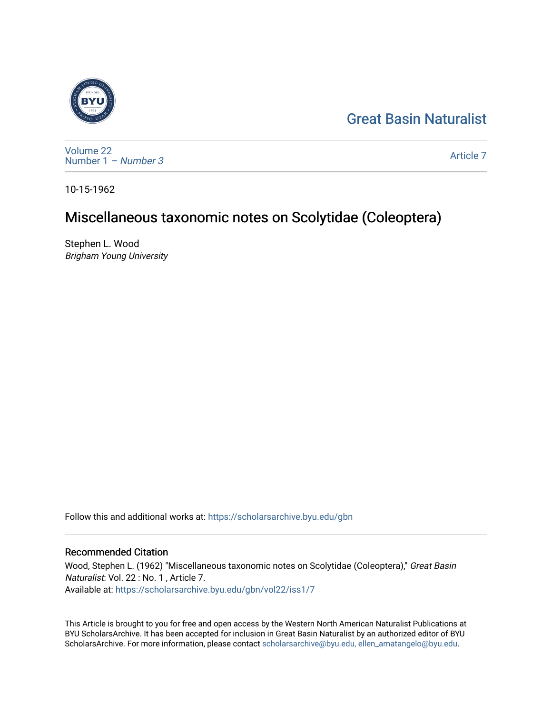# [Great Basin Naturalist](https://scholarsarchive.byu.edu/gbn)



[Volume 22](https://scholarsarchive.byu.edu/gbn/vol22) [Number 1](https://scholarsarchive.byu.edu/gbn/vol22/iss1) – Number 3

[Article 7](https://scholarsarchive.byu.edu/gbn/vol22/iss1/7) 

10-15-1962

# Miscellaneous taxonomic notes on Scolytidae (Coleoptera)

Stephen L. Wood Brigham Young University

Follow this and additional works at: [https://scholarsarchive.byu.edu/gbn](https://scholarsarchive.byu.edu/gbn?utm_source=scholarsarchive.byu.edu%2Fgbn%2Fvol22%2Fiss1%2F7&utm_medium=PDF&utm_campaign=PDFCoverPages) 

# Recommended Citation

Wood, Stephen L. (1962) "Miscellaneous taxonomic notes on Scolytidae (Coleoptera)," Great Basin Naturalist: Vol. 22 : No. 1 , Article 7. Available at: [https://scholarsarchive.byu.edu/gbn/vol22/iss1/7](https://scholarsarchive.byu.edu/gbn/vol22/iss1/7?utm_source=scholarsarchive.byu.edu%2Fgbn%2Fvol22%2Fiss1%2F7&utm_medium=PDF&utm_campaign=PDFCoverPages)

This Article is brought to you for free and open access by the Western North American Naturalist Publications at BYU ScholarsArchive. It has been accepted for inclusion in Great Basin Naturalist by an authorized editor of BYU ScholarsArchive. For more information, please contact [scholarsarchive@byu.edu, ellen\\_amatangelo@byu.edu.](mailto:scholarsarchive@byu.edu,%20ellen_amatangelo@byu.edu)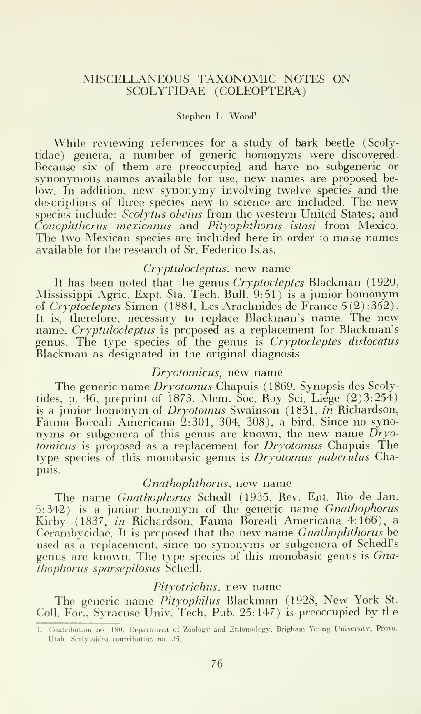# MISCELLANEOUS TAXONOMIC NOTES ON SCOLYTIDAE (COLEOPTERA)

#### Stephen L. Wood'

While reviewing references for a study of bark beetle (Scolytidae) genera, <sup>a</sup> number of generic homonyms were discovered. Because six of them are preoccupied and have no subgeneric or synonymous names available for use, new names are proposed below. In addition, new synonymy involving twelve species and the descriptions of three species new to science are included. The new species include: Scolytus obelus from the western United States; and Conophthorus mexicanus and Pityophthorus islasi from Mexico. The two Mexican species are included here in order to make names available for the research of Sr. Federico Islas.

## Cryptulocleptus, new name

It has been noted that the genus Cryptocleptes Blackman (1920, Mississippi Agric. Expt. Sta. Tech. Bull. 9:51) is <sup>a</sup> junior homonym of  $Cryptocleptes Simon$  (1884, Les Arachnides de France  $5(2):352$ ). It is, therefore, necessary to replace Blackman's name. The new name. Cryptulocleptus is proposed as a replacement for Blackman's genus. The type species of the genus is Cryptocleptes dislocatus Blackman as designated in the original diagnosis.

# Dryotomicus, new name

The generic name Dryotomus Chapuis (1869. Synopsis des Scolytides, p. 46, preprint of 1873. Mem. Soc. Roy Sci. Liege (2)3:254) is a junior homonym of Dryotomus Swainson (1831, in Richardson, Fauna Boreali Americana 2:301, 304, 308), a bird. Since no synonyms or subgenera of this genus are known, the new name  $\dot{D}ryo$ tomicus is proposed as a replacement for Dryotomus Chapuis. The type species of this monobasic genus is Dryotomus puberulus Chapuis.

## Gnathophthorus, new name

The name Gnathophorus Schedl (1935, Rev. Ent. Rio de Jan. 5:342) is <sup>a</sup> junior homonym of the generic name Gnathophorus Kirby (1837, in Richardson. Fauna Boreali Americana 4:166), a Cerambycidae. It is proposed that the new name Gnathophthorus be used as a replacement, since no synonyms or subgenera of Schedl's genus are known. The type species of this monobasic genus is Gnathophorus sparsepilosus Schedl.

#### Pityotrichus, new name

The generic name Pityophilus Blackman (1928, New York St. Coll. For., Syracuse Univ. Tech. Pub. 25:147) is preoccupied by the

<sup>1.</sup> Contribution no. 180. Department of 'Zoology and Entomology. Brigham Young University. Provo, Utah. Scolytoidea contribution no. 25.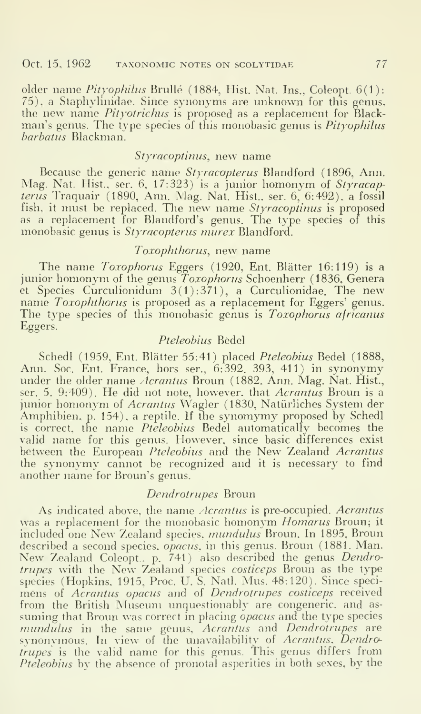older name Pityophilus Brullé (1884, Hist. Nat. Ins., Coleopt. 6(1): 75), <sup>a</sup> Staphylinidae. Since synonyms are unknown for this genus, the new name Pityotrichus is proposed as <sup>a</sup> replacement for Blackman's genus. The type species of this monobasic genus is *Pityophilus* barbatus Blackman.

# Styracoptinus, new name

Because the generic name Styracopterus Blandford (1896, Ann. Mag. Nat. Hist., ser. 6, 17:323) is a junior homonym of Styracapterus Traquair (1890, Ann. Mag. Nat. Hist., ser. 6, 6:492), a fossil fish, it must be replaced. The new name Styracoptinus is proposed as a replacement for Blandford's genus. The type species of this monobasic genus is Styracopterus murex Blandford.

# Tozophthorus, new name

The name Toxophorus Eggers (1920, Ent. Blätter 16:119) is a junior homonym of the genus Toxophorus Schoenherr (1836, Genera et Species Curculionidum 3(1):371), <sup>a</sup> Curculionidae. The new name Toxophthorus is proposed as <sup>a</sup> replacement for Eggers' genus. The type species of this monobasic genus is Toxophorus africanus Eggers.

# Pteleobius Bedel

Schedl (1959, Ent. Blätter 55:41) placed Pteleobius Bedel (1888, Ann. Soc. Ent. France, hors ser., 6:392, 393, 411) in synonymy under the older name *Acrantus* Broun (1882, Ann. Mag. Nat. Hist., ser. 5. 9:409). He did not note, however, that Acrantus Broun is a junior homonym of Acrantus Wagler (1830, Natürliches System der Amphibien, p. 154), <sup>a</sup> reptile. If the synomymy proposed by Schedl is correct, the name Pteleobius Bedel automatically becomes the valid name for this genus. However, since basic differences exist between the European Pteleobius and the New Zealand Acrantus the synonymy cannot be recognized and it is necessary to find another name for Broun's genus.

## Dendrotrupes Broun

As indicated above, the name Acrantus is pre-occupied. Acrantus was a replacement for the monobasic homonym Homarus Broun; it included one New Zealand species, mundulus Broun. In 1895, Broun described a second species, *opacus*, in this genus. Broun (1881. Man. New Zealand Coleopt.. p. 741) also described the genus Dendrotrupes with the New Zealand species costiceps Broun as the type species (Hopkins, 1915, Proc. U. S. Natl. Mus. 48:120). Since speci mens of Acrantus opacus and of Dendrotrupes costiceps received from the British Museum unquestionably are congeneric, and as suming that Broun was correct in placing opacus and the type species mundulus in the same genus, Acrantus and Dendrotrupes are synonymous. In view of the unavailability of Acrantus, Dendrotru*pes* is the valid name for this genus. This genus differs from Pteleobius by the absence of pronotal asperities in both sexes, by the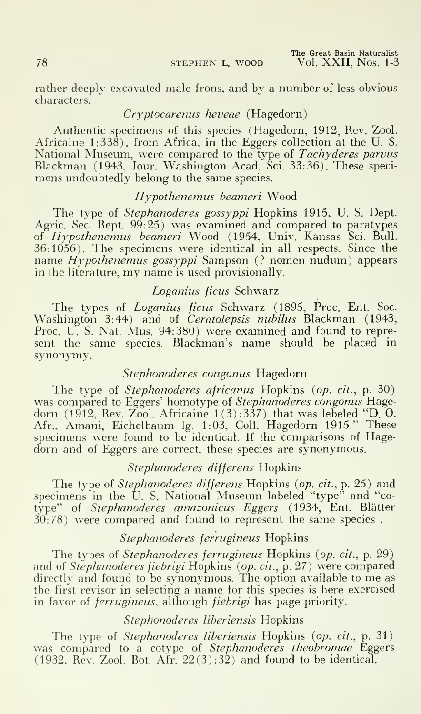rather deeply excavated male frons, and by a number of less obvious characters.

## Cryptocarenus heveae (Hagedorn)

Authentic specimens of this species (Hagedorn, 1912, Rev. Zool. Africaine 1:338), from Africa, in the Eggers collection at the U. S. National Museum, were compared to the type of Tachyderes parvus Blackman (1943, Jour. Washington Acad. Sci. 33:36). These speci mens undoubtedly belong to the same species.

# Hypothenemus beameri Wood

The type of *Stephanoderes gossyppi* Hopkins 1915, U.S. Dept. Agric. Sec. Rept. 99:25) was examined and compared to paratypes of *Hypothenemus beameri* Wood (1954, Univ. Kansas Sci. Bull. – 36:1056). Ihe specimens were identical in all respects. Since the name  $Hypothenemus gossyppi$  Sampson (? nomen nudum) appears in the literature, my name is used provisionally.

# Loganius ficus Schwarz

The types of Loganius ficus Schwarz (1895, Proc. Ent. Soc. Washington 3:44) and of Ceratolepsis nubilus Blackman (1943, Proc. U. S. Nat. Mus. 94:380) were examined and found to represent the same species. Blackman's name should be placed in synonymy.

# Stephonoderes congonus Hagedorn

The type of Stephanoderes africanus Hopkins (op. cit., p. 30) was compared to Eggers' homotype of Stephanoderes congonus Hagedorn (1912, Rev. Zool. Africaine 1(3):337) that was lebeled "D. O. Afr., Amani, Eichelbaum Ig. 1:03, Coll. Hagedorn 1915." These specimens were found to be identical. If the comparisons of Hagedorn and of Eggers are correct, these species are synonymous.

## Stephanoderes differens Hopkins

The type of Stephanoderes differens Hopkins (op. cit., p. 25) and specimens in the U. S. National Museum labeled "type" and "cotype'' of *Stephanoderes amazonicus Eggers* (1934, Ent. Blätter – 30:78) were compared and found to represent the same species .

# Stephanoderes ferrugineus Hopkins

The types of Stephanoderes ferrugineus Hopkins {op. cit., p. 29) and of Stephanoderes fiebrigi Hopkins (op. cit., p. 27) were compared directly and found to be synonymous. The option available to me as the first revisor in selecting <sup>a</sup> name for this species is here exercised in favor of *ferrugineus*, although *fiebrigi* has page priority.

# Stephonoderes liberiensis Hopkins

The type of *Stephanoderes liberiensis* Hopkins (*op. cit.*, p. 31) was compared to a cotype of Stephanoderes theobromae Eggers (1932, Rev. Zool. Bot.  $\text{Air. 22}(3):32$ ) and found to be identical.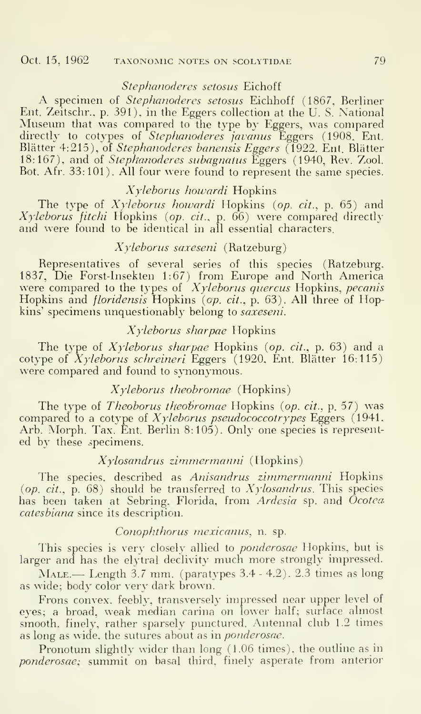## Oct. 15, 1962 TAXONOMIC NOTES ON SCOLYTIDAE 79

## Stephanoderes setosus Eichoff

A specimen of Stephanoderes setosus Eichhoff (1867, Berliner Ent. Zeitschr., p. 391), in the Eggers collection at the U.S. National Museum that was compared to the type by Eggers, was compared directly to cotypes of *Stephanoderes javanus* Eggers (1908, Ent.  $\qquad$ Blätter 4:215), of *Stephanoderes banensis Eggers* (1922, Ent. Blätter 18:167), and of Stephanoderes subagnatus Eggers (1940, Rev. Zool. Bot. Afr. 33:101). All four were found to represent the same species.

## Xyleborus howardi Hopkins

The type of  $X$ yleborus howardi Hopkins (op. cit., p. 65) and  $X$ yleborus fitchi Hopkins (op. cit., p. 66) were compared directly and were found to be identical in all essential characters.

#### Xyleborus saxeseni (Ratzeburg)

Representatives of several series of this species (Ratzeburg, 1837, Die Forst-Insekten 1:67) from Europe and North America were compared to the types of *Xyleborus quercus* Hopkins, *pecanis* Hopkins and *floridensis* Hopkins (op. cit., p. 63). All three of Hopkins' specimens unquestionably belong to *saxeseni*.

# Xyleborus sharpae Hopkins

The type of  $X$ yleborus sharpae Hopkins (op. cit., p. 63) and a cotype of  $X$ yleborus schreineri Eggers (1920, Ent. Blätter 16:115) were compared and found to synonymous.

## Xyleborus theobromae (Hopkins)

The type of *Theoborus theobromae* Hopkins (op. cit., p. 57) was compared to a cotype of Xyleborus pseudococcotrypes Eggers (1941, Arb. Morph. Tax. Ent. Berlin 8:105). Only one species is represented by these specimens.

## Xylosandrus zimmermanni (Hopkins)

The species, described as Anisandrus zimmermanni Hopkins (op. cit.,  $\hat{p}$ . 68) should be transferred to  $Xy$ losandrus. This species has been taken at Sebring. Florida, from Ardesia sp. and Ocotea catesbiana since its description.

## Conophthorus mexicanus, n. sp.

This species is very closely allied to *ponderosae* Hopkins, but is larger and has the elytral declivity much more strongly impressed.

Male.— Length 3.7 mm. (paratypes 3.4 - 4.2). 2.3 times as long as wide; body color very dark brown.

Frons convex, feebly, transversely impressed near upper level of eyes; a broad, weak median carina on lower half; surface almost smooth, finely, rather sparsely punctured. Antennal club 1.2 times as long as wide, the sutures about as in *ponderosae*.

Pronotum slightly wider than long (1.06 times), the outline as in ponderosae; summit on basal third, finely asperate from anterior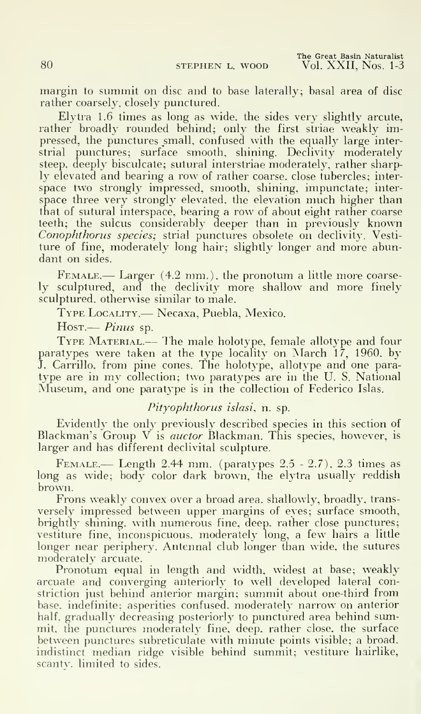The Great Basin Naturalist 80 STEPHEN L. WOOD Vol. XXII, Nos. 1-3

margin to summit on disc and to base laterally; basal area of disc rather coarsely, closely punctured.

Elytra 1.6 times as long as wide, the sides very slightly arcute, rather broadly rounded behind; only the first striae weakly impressed, the punctures small, confused with the equally large interstrial punctures; surface smooth, shining. Declivity moderately steep, deeply bisculcate; sutural interstriae moderately, rather sharply elevated and bearing a row of rather coarse, close tubercles; inter space two strongly impressed, smooth, shining, impunctate; inter space three very strongly elevated, the elevation much higher than that of sutural interspace, bearing a row of about eight rather coarse teeth; the sulcus considerably deeper than in previously known Conophthorus species; strial punctures obsolete on declivity. Vesti ture of fine, moderately long hair; slightly longer and more abundant on sides.

FEMALE.— Larger (4.2 mm.), the pronotum a little more coarsely sculptured, and the declivity more shallow and more finely sculptured, otherwise similar to male.

Type Locality.— Necaxa, Puebla, Mexico.

Host.— *Pinus* sp.

Type Material.— The male holotype, female allotype and four paratypes were taken at the type locality on March 17, 1960. by J. Carrillo, from pine cones. The holotype, allotype and one para type are in my collection; two paratypes are in the U. S. National Museum, and one paratype is in the collection of Federico Islas.

# Pityophthorus islasi, n. sp.

Evidently the only previously described species in this section of Blackman's Group V is *auctor* Blackman. This species, however, is larger and has different declivital sculpture.

Female.— Length 2.44 mm. (paratypes 2.5 - 2.7). 2.3 times as long as wide; body color dark brown, the elytra usually reddish brown.

Frons weakly convex over a broad area, shallowly, broadly, trans versely impressed between upper margins of eyes; surface smooth, brightly shining, with numerous fine, deep, rather close punctures; vestiture fine, inconspicuous, moderately long, a few hairs a little longer near periphery. Antennal club longer than wide, the sutures moderately arcuate.

Pronotum equal in length and width, widest at base; weakly arcuate and converging anteriorly to well developed lateral constriction just behind anterior margin; summit about one-third from base, indefinite; asperities confused, moderately narrow on anterior half, gradually decreasing posteriorly to punctured area behind summit, the punctures moderately fine, deep, rather close, the surface between punctures subreticulate with minute points visible; a broad, indistinct median ridge visible behind summit; vestiture hairlike, scanty. limited to sides.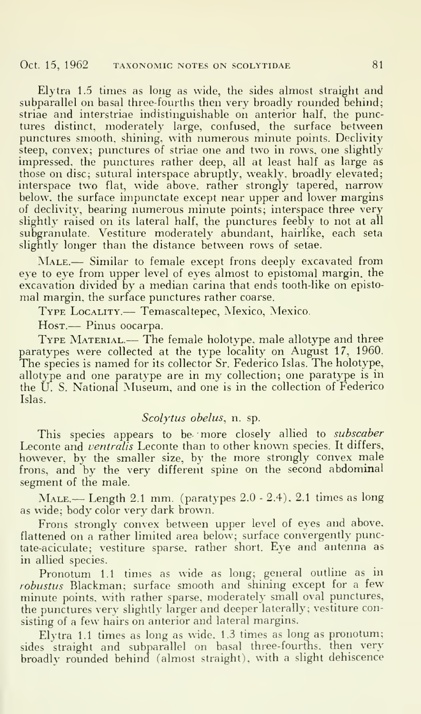Elytra 1.5 times as long as wide, the sides almost straight and subparallel on basal three-fourths then very broadly rounded behind; striae and interstriae indistinguishable on anterior half, the punctures distinct, moderately large, confused, the surface between punctures smooth, shining, with numerous minute points. Declivity steep, convex; punctures of striae one and two in rows, one slightly impressed, the punctures rather deep, all at least half as large as those on disc; sutural interspace abruptly, weakly, broadly elevated; interspace two flat, wide above, rather strongly tapered, narrow below, the surface impunctate except near upper and lower margins of declivity, bearing numerous minute points; interspace three very slightly raised on its lateral half, the punctures feebly to not at all subgranulate, Vestiture moderately abundant, hairlike, each seta slightly longer than the distance between rows of setae.

MALE.— Similar to female except frons deeply excavated from eye to eye from upper level of eyes almost to epistomal margin, the excavation divided by a median carina that ends tooth-like on epistomal margin, the surface punctures rather coarse.

Type Locality.— Temascaltepec, Mexico, Mexico.

Host.— Pinus oocarpa.

TYPE MATERIAL.— The female holotype, male allotype and three paratypes were collected at the type locality on August 17, 1960. The species is named for its collector Sr. Federico Islas. The holotype, allotype and one paratype are in my collection; one paratype is in the U. S. National Museum, and one is in the collection of Federico Islas.

## Scolytus obelus, n. sp.

This species appears to be more closely allied to subscaber Leconte and *ventralis* Leconte than to other known species. It differs, however, by the smaller size, by the more strongly convex male frons, and by the very different spine on the second abdominal segment of the male.

 $MALE.$ — Length 2.1 mm. (paratypes  $2.0 - 2.4$ ), 2.1 times as long as wide; body color very dark brown.

Frons strongly convex between upper level of eyes and above, flattened on <sup>a</sup> rather limited area below; surface convergently punctate-aciculate; vestiture sparse, rather short. Eye and antenna as in allied species.

Pronotum 1.1 times as wide as long; general outline as in robustus Blackman; surface smooth and shining except for <sup>a</sup> few minute points, with rather sparse, moderately small oval punctures, the punctures very slightly larger and deeper laterally; vestiture consisting of a few hairs on anterior and lateral margins.

Elytra 1.1 times as long as wide. 1.3 times as long as pronotum; sides straight and subparallel on basal three-fourths, then very broadly rounded behind (almost straight), with <sup>a</sup> slight dehiscence